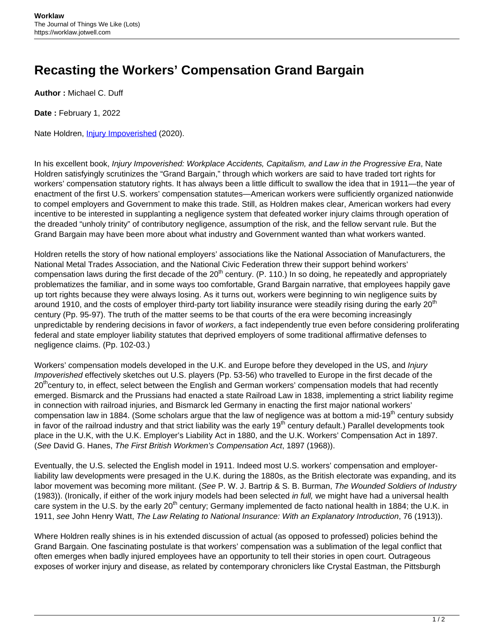## **Recasting the Workers' Compensation Grand Bargain**

**Author :** Michael C. Duff

**Date :** February 1, 2022

Nate Holdren, *[Injury Impoverished](https://www.cambridge.org/us/academic/subjects/history/twentieth-century-american-history/injury-impoverished-workplace-accidents-capitalism-and-law-progressive-era?format=HB)* (2020).

In his excellent book, Injury Impoverished: Workplace Accidents, Capitalism, and Law in the Progressive Era, Nate Holdren satisfyingly scrutinizes the "Grand Bargain," through which workers are said to have traded tort rights for workers' compensation statutory rights. It has always been a little difficult to swallow the idea that in 1911—the year of enactment of the first U.S. workers' compensation statutes—American workers were sufficiently organized nationwide to compel employers and Government to make this trade. Still, as Holdren makes clear, American workers had every incentive to be interested in supplanting a negligence system that defeated worker injury claims through operation of the dreaded "unholy trinity" of contributory negligence, assumption of the risk, and the fellow servant rule. But the Grand Bargain may have been more about what industry and Government wanted than what workers wanted.

Holdren retells the story of how national employers' associations like the National Association of Manufacturers, the National Metal Trades Association, and the National Civic Federation threw their support behind workers' compensation laws during the first decade of the  $20<sup>th</sup>$  century. (P. 110.) In so doing, he repeatedly and appropriately problematizes the familiar, and in some ways too comfortable, Grand Bargain narrative, that employees happily gave up tort rights because they were always losing. As it turns out, workers were beginning to win negligence suits by around 1910, and the costs of employer third-party tort liability insurance were steadily rising during the early 20<sup>th</sup> century (Pp. 95-97). The truth of the matter seems to be that courts of the era were becoming increasingly unpredictable by rendering decisions in favor of workers, a fact independently true even before considering proliferating federal and state employer liability statutes that deprived employers of some traditional affirmative defenses to negligence claims. (Pp. 102-03.)

Workers' compensation models developed in the U.K. and Europe before they developed in the US, and *Injury* Impoverished effectively sketches out U.S. players (Pp. 53-56) who travelled to Europe in the first decade of the 20<sup>th</sup>century to, in effect, select between the English and German workers' compensation models that had recently emerged. Bismarck and the Prussians had enacted a state Railroad Law in 1838, implementing a strict liability regime in connection with railroad injuries, and Bismarck led Germany in enacting the first major national workers' compensation law in 1884. (Some scholars argue that the law of negligence was at bottom a mid-19<sup>th</sup> century subsidy in favor of the railroad industry and that strict liability was the early 19<sup>th</sup> century default.) Parallel developments took place in the U.K, with the U.K. Employer's Liability Act in 1880, and the U.K. Workers' Compensation Act in 1897. (See David G. Hanes, The First British Workmen's Compensation Act, 1897 (1968)).

Eventually, the U.S. selected the English model in 1911. Indeed most U.S. workers' compensation and employerliability law developments were presaged in the U.K. during the 1880s, as the British electorate was expanding, and its labor movement was becoming more militant. (See P. W. J. Bartrip & S. B. Burman, The Wounded Soldiers of Industry (1983)). (Ironically, if either of the work injury models had been selected in full, we might have had a universal health care system in the U.S. by the early 20<sup>th</sup> century; Germany implemented de facto national health in 1884; the U.K. in 1911, see John Henry Watt, The Law Relating to National Insurance: With an Explanatory Introduction, 76 (1913)).

Where Holdren really shines is in his extended discussion of actual (as opposed to professed) policies behind the Grand Bargain. One fascinating postulate is that workers' compensation was a sublimation of the legal conflict that often emerges when badly injured employees have an opportunity to tell their stories in open court. Outrageous exposes of worker injury and disease, as related by contemporary chroniclers like Crystal Eastman, the Pittsburgh